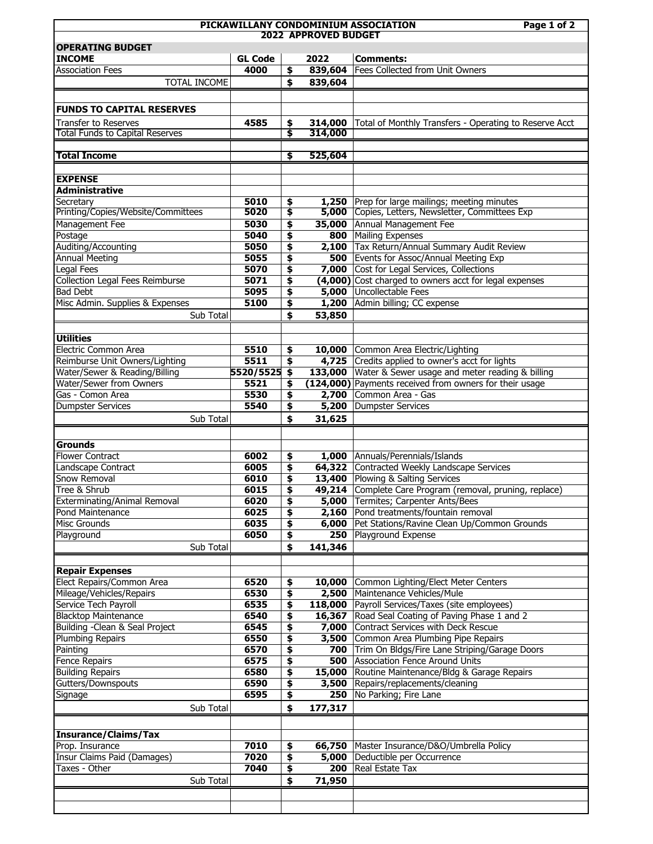|                                                                               |                | PICKAWILLANY CONDOMINIUM ASSOCIATION<br>Page 1 of 2 |         |                                                         |  |  |  |  |
|-------------------------------------------------------------------------------|----------------|-----------------------------------------------------|---------|---------------------------------------------------------|--|--|--|--|
| <b>2022 APPROVED BUDGET</b>                                                   |                |                                                     |         |                                                         |  |  |  |  |
| <b>OPERATING BUDGET</b>                                                       |                |                                                     |         |                                                         |  |  |  |  |
| <b>INCOME</b>                                                                 | <b>GL Code</b> |                                                     | 2022    | <b>Comments:</b>                                        |  |  |  |  |
| <b>Association Fees</b>                                                       | 4000           | \$                                                  | 839,604 | Fees Collected from Unit Owners                         |  |  |  |  |
| TOTAL INCOME                                                                  |                | \$                                                  | 839,604 |                                                         |  |  |  |  |
|                                                                               |                |                                                     |         |                                                         |  |  |  |  |
| <b>FUNDS TO CAPITAL RESERVES</b>                                              |                |                                                     |         |                                                         |  |  |  |  |
| Transfer to Reserves                                                          | 4585           | \$                                                  | 314,000 | Total of Monthly Transfers - Operating to Reserve Acct  |  |  |  |  |
| Total Funds to Capital Reserves                                               |                | ड                                                   | 314,000 |                                                         |  |  |  |  |
|                                                                               |                |                                                     |         |                                                         |  |  |  |  |
| <b>Total Income</b>                                                           |                | \$                                                  | 525,604 |                                                         |  |  |  |  |
|                                                                               |                |                                                     |         |                                                         |  |  |  |  |
| <b>EXPENSE</b>                                                                |                |                                                     |         |                                                         |  |  |  |  |
| <b>Administrative</b>                                                         |                |                                                     |         |                                                         |  |  |  |  |
| Secretary                                                                     | 5010           | \$                                                  | 1,250   | Prep for large mailings; meeting minutes                |  |  |  |  |
| Printing/Copies/Website/Committees                                            | 5020           | \$                                                  |         | 5,000 Copies, Letters, Newsletter, Committees Exp       |  |  |  |  |
| Management Fee                                                                | 5030           | \$                                                  | 35,000  | Annual Management Fee                                   |  |  |  |  |
| Postage                                                                       | 5040           | \$                                                  | 800     | Mailing Expenses                                        |  |  |  |  |
| Auditing/Accounting                                                           | 5050           | \$                                                  | 2,100   | Tax Return/Annual Summary Audit Review                  |  |  |  |  |
| <b>Annual Meeting</b>                                                         | 5055           | \$                                                  | 500     | Events for Assoc/Annual Meeting Exp                     |  |  |  |  |
| <b>Legal Fees</b>                                                             | 5070           | \$                                                  |         | 7,000 Cost for Legal Services, Collections              |  |  |  |  |
| Collection Legal Fees Reimburse                                               | 5071           | \$                                                  |         | (4,000) Cost charged to owners acct for legal expenses  |  |  |  |  |
| <b>Bad Debt</b>                                                               | 5095           | \$                                                  | 5,000   | Uncollectable Fees                                      |  |  |  |  |
| Misc Admin. Supplies & Expenses                                               | 5100           | \$                                                  | 1,200   | Admin billing; CC expense                               |  |  |  |  |
| Sub Total                                                                     |                | \$                                                  | 53,850  |                                                         |  |  |  |  |
|                                                                               |                |                                                     |         |                                                         |  |  |  |  |
| <b>Utilities</b>                                                              |                |                                                     |         |                                                         |  |  |  |  |
| <b>Electric Common Area</b>                                                   | 5510           | \$                                                  |         | 10,000 Common Area Electric/Lighting                    |  |  |  |  |
| Reimburse Unit Owners/Lighting                                                | 5511           | \$                                                  | 4,725   | Credits applied to owner's acct for lights              |  |  |  |  |
| Water/Sewer & Reading/Billing                                                 | 5520/5525      | \$                                                  | 133,000 | Water & Sewer usage and meter reading & billing         |  |  |  |  |
| Water/Sewer from Owners                                                       | 5521           | \$                                                  |         | (124,000) Payments received from owners for their usage |  |  |  |  |
| Gas - Comon Area                                                              | 5530           | \$                                                  | 2,700   | Common Area - Gas                                       |  |  |  |  |
| <b>Dumpster Services</b>                                                      | 5540           | \$                                                  | 5,200   | Dumpster Services                                       |  |  |  |  |
| Sub Total                                                                     |                | \$                                                  | 31,625  |                                                         |  |  |  |  |
|                                                                               |                |                                                     |         |                                                         |  |  |  |  |
| <b>Grounds</b>                                                                |                |                                                     |         |                                                         |  |  |  |  |
| <b>Flower Contract</b>                                                        | 6002           | \$                                                  |         | 1,000 Annuals/Perennials/Islands                        |  |  |  |  |
| Landscape Contract                                                            | 6005           | \$                                                  |         | 64,322 Contracted Weekly Landscape Services             |  |  |  |  |
| Snow Removal                                                                  | 6010           | \$                                                  | 13,400  | Plowing & Salting Services                              |  |  |  |  |
| Tree & Shrub                                                                  | 6015           | \$                                                  | 49,214  | Complete Care Program (removal, pruning, replace)       |  |  |  |  |
| Exterminating/Animal Removal                                                  | 6020           |                                                     |         | <b>5,000</b> Termites; Carpenter Ants/Bees              |  |  |  |  |
| <b>Pond Maintenance</b>                                                       | 6025           | \$<br>\$                                            |         | 2,160 Pond treatments/fountain removal                  |  |  |  |  |
| Misc Grounds                                                                  | 6035           | \$                                                  | 6,000   | Pet Stations/Ravine Clean Up/Common Grounds             |  |  |  |  |
| Playground                                                                    | 6050           | \$                                                  | 250     | Playground Expense                                      |  |  |  |  |
|                                                                               |                |                                                     |         |                                                         |  |  |  |  |
| Sub Total                                                                     |                | \$                                                  | 141,346 |                                                         |  |  |  |  |
|                                                                               |                |                                                     |         |                                                         |  |  |  |  |
| <b>Repair Expenses</b>                                                        |                |                                                     |         |                                                         |  |  |  |  |
| Elect Repairs/Common Area                                                     | 6520           | \$                                                  | 10,000  | Common Lighting/Elect Meter Centers                     |  |  |  |  |
| Mileage/Vehicles/Repairs                                                      | 6530           | \$                                                  |         | 2,500 Maintenance Vehicles/Mule                         |  |  |  |  |
| Service Tech Payroll                                                          | 6535           | \$                                                  | 118,000 | Payroll Services/Taxes (site employees)                 |  |  |  |  |
| <b>Blacktop Maintenance</b>                                                   | 6540           | \$                                                  | 16,367  | Road Seal Coating of Paving Phase 1 and 2               |  |  |  |  |
| Building - Clean & Seal Project                                               | 6545           | \$                                                  | 7,000   | Contract Services with Deck Rescue                      |  |  |  |  |
| <b>Plumbing Repairs</b>                                                       | 6550           | \$                                                  | 3,500   | Common Area Plumbing Pipe Repairs                       |  |  |  |  |
| Painting                                                                      | 6570           | \$                                                  | 700     | Trim On Bldgs/Fire Lane Striping/Garage Doors           |  |  |  |  |
| <b>Fence Repairs</b>                                                          | 6575           | \$                                                  | 500     | Association Fence Around Units                          |  |  |  |  |
| <b>Building Repairs</b>                                                       | 6580           | \$                                                  | 15,000  | Routine Maintenance/Bldg & Garage Repairs               |  |  |  |  |
| Gutters/Downspouts                                                            | 6590           | \$                                                  | 3,500   | Repairs/replacements/cleaning                           |  |  |  |  |
| Signage                                                                       | 6595           | \$                                                  | 250     | No Parking; Fire Lane                                   |  |  |  |  |
| Sub Total                                                                     |                | \$                                                  | 177,317 |                                                         |  |  |  |  |
|                                                                               |                |                                                     |         |                                                         |  |  |  |  |
|                                                                               |                |                                                     |         |                                                         |  |  |  |  |
|                                                                               |                |                                                     |         |                                                         |  |  |  |  |
|                                                                               |                |                                                     | 66,750  |                                                         |  |  |  |  |
|                                                                               | 7010           | \$                                                  |         | Master Insurance/D&O/Umbrella Policy                    |  |  |  |  |
| <b>Insurance/Claims/Tax</b><br>Prop. Insurance<br>Insur Claims Paid (Damages) | 7020           | \$                                                  | 5,000   | Deductible per Occurrence                               |  |  |  |  |
| Taxes - Other                                                                 | 7040           | \$                                                  | 200     | Real Estate Tax                                         |  |  |  |  |
| Sub Total                                                                     |                | \$                                                  | 71,950  |                                                         |  |  |  |  |